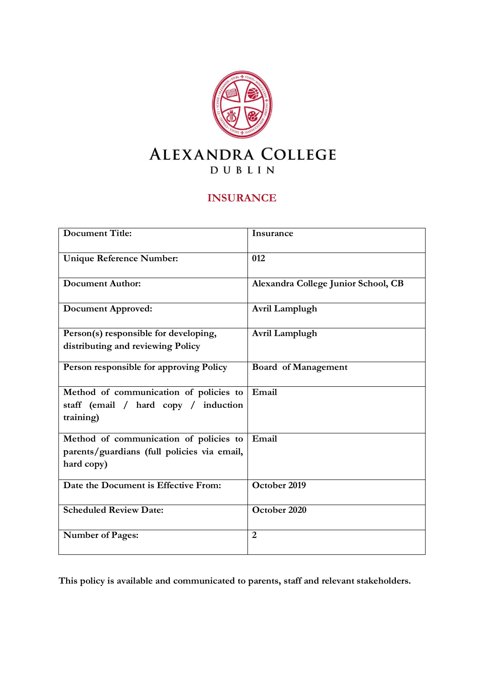

## **INSURANCE**

| <b>Document Title:</b>                                                                              | Insurance                           |
|-----------------------------------------------------------------------------------------------------|-------------------------------------|
| <b>Unique Reference Number:</b>                                                                     | 012                                 |
| <b>Document Author:</b>                                                                             | Alexandra College Junior School, CB |
| <b>Document Approved:</b>                                                                           | Avril Lamplugh                      |
| Person(s) responsible for developing,<br>distributing and reviewing Policy                          | Avril Lamplugh                      |
| Person responsible for approving Policy                                                             | <b>Board of Management</b>          |
| Method of communication of policies to<br>staff (email / hard copy / induction<br>training)         | Email                               |
| Method of communication of policies to<br>parents/guardians (full policies via email,<br>hard copy) | Email                               |
| Date the Document is Effective From:                                                                | October 2019                        |
| <b>Scheduled Review Date:</b>                                                                       | October 2020                        |
| <b>Number of Pages:</b>                                                                             | $\overline{2}$                      |

**This policy is available and communicated to parents, staff and relevant stakeholders.**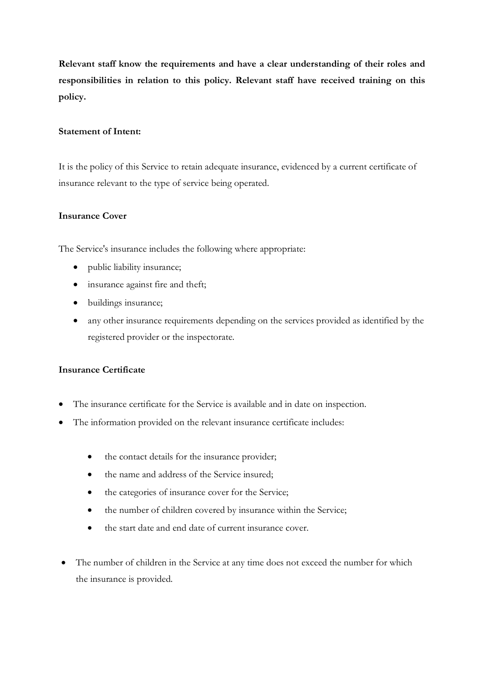**Relevant staff know the requirements and have a clear understanding of their roles and responsibilities in relation to this policy. Relevant staff have received training on this policy.** 

## **Statement of Intent:**

It is the policy of this Service to retain adequate insurance, evidenced by a current certificate of insurance relevant to the type of service being operated.

## **Insurance Cover**

The Service's insurance includes the following where appropriate:

- public liability insurance;
- insurance against fire and theft;
- buildings insurance;
- any other insurance requirements depending on the services provided as identified by the registered provider or the inspectorate.

## **Insurance Certificate**

- The insurance certificate for the Service is available and in date on inspection.
- The information provided on the relevant insurance certificate includes:
	- the contact details for the insurance provider;
	- the name and address of the Service insured;
	- the categories of insurance cover for the Service;
	- the number of children covered by insurance within the Service;
	- the start date and end date of current insurance cover.
- The number of children in the Service at any time does not exceed the number for which the insurance is provided.